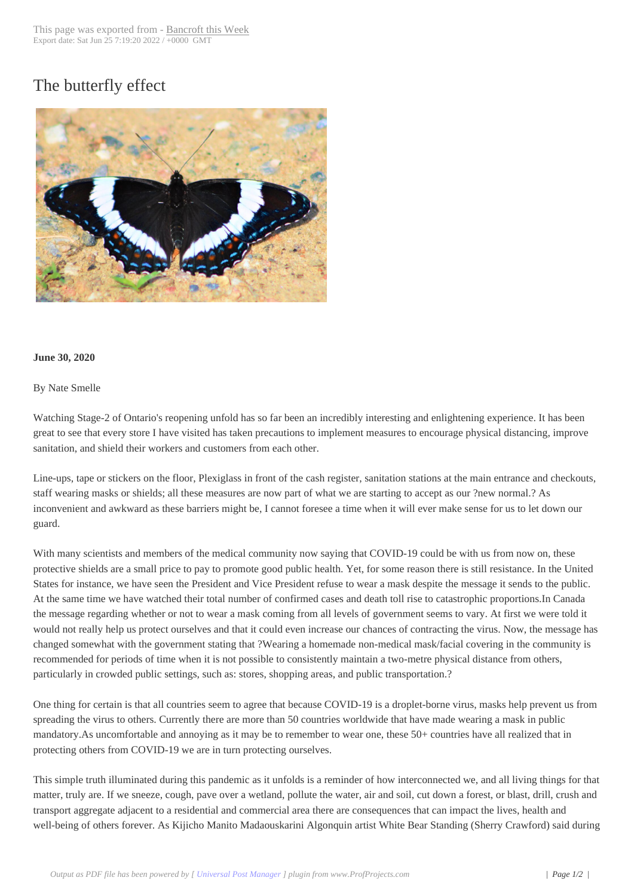## The butterfly effect



## **June 30, 2020**

## By Nate Smelle

Watching Stage-2 of Ontario's reopening unfold has so far been an incredibly interesting and enlightening experience. It has been great to see that every store I have visited has taken precautions to implement measures to encourage physical distancing, improve sanitation, and shield their workers and customers from each other.

Line-ups, tape or stickers on the floor, Plexiglass in front of the cash register, sanitation stations at the main entrance and checkouts, staff wearing masks or shields; all these measures are now part of what we are starting to accept as our ?new normal.? As inconvenient and awkward as these barriers might be, I cannot foresee a time when it will ever make sense for us to let down our guard.

With many scientists and members of the medical community now saying that COVID-19 could be with us from now on, these protective shields are a small price to pay to promote good public health. Yet, for some reason there is still resistance. In the United States for instance, we have seen the President and Vice President refuse to wear a mask despite the message it sends to the public. At the same time we have watched their total number of confirmed cases and death toll rise to catastrophic proportions.In Canada the message regarding whether or not to wear a mask coming from all levels of government seems to vary. At first we were told it would not really help us protect ourselves and that it could even increase our chances of contracting the virus. Now, the message has changed somewhat with the government stating that ?Wearing a homemade non-medical mask/facial covering in the community is recommended for periods of time when it is not possible to consistently maintain a two-metre physical distance from others, particularly in crowded public settings, such as: stores, shopping areas, and public transportation.?

One thing for certain is that all countries seem to agree that because COVID-19 is a droplet-borne virus, masks help prevent us from spreading the virus to others. Currently there are more than 50 countries worldwide that have made wearing a mask in public mandatory.As uncomfortable and annoying as it may be to remember to wear one, these 50+ countries have all realized that in protecting others from COVID-19 we are in turn protecting ourselves.

This simple truth illuminated during this pandemic as it unfolds is a reminder of how interconnected we, and all living things for that matter, truly are. If we sneeze, cough, pave over a wetland, pollute the water, air and soil, cut down a forest, or blast, drill, crush and transport aggregate adjacent to a residential and commercial area there are consequences that can impact the lives, health and well-being of others forever. As Kijicho Manito Madaouskarini Algonquin artist White Bear Standing (Sherry Crawford) said during